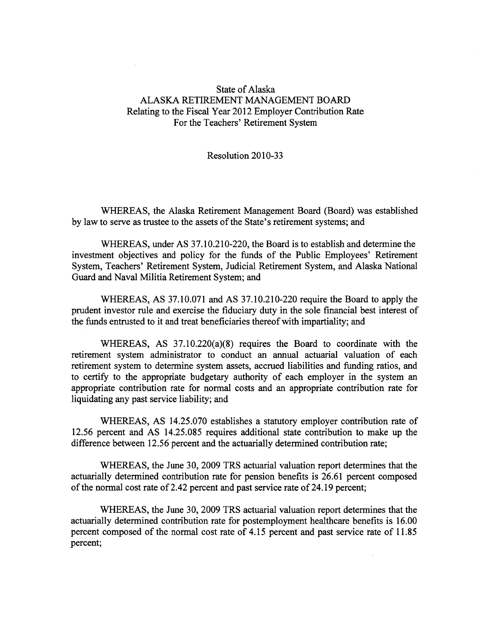## State of Alaska ALASKA RETIREMENT MANAGEMENT BOARD Relating to the Fiscal Year 2012 Employer Contribution Rate For the Teachers' Retirement System

## Resolution 2010-33

WHEREAS, the Alaska Retirement Management Board (Board) was established by law to serve as trustee to the assets of the State's retirement systems; and

WHEREAS, under AS 37.10.210-220, the Board is to establish and determine the investment objectives and policy for the funds of the Public Employees' Retirement System, Teachers' Retirement System, Judicial Retirement System, and Alaska National Guard and Naval Militia Retirement System; and

WHEREAS, AS 37.10.071 and AS 37.10.210-220 require the Board to apply the prudent investor rule and exercise the fiduciary duty in the sole financial best interest of the funds entrusted to it and treat beneficiaries thereof with impartiality; and

WHEREAS, AS 37.10.220(a)(8) requires the Board to coordinate with the retirement system administrator to conduct an annual actuarial valuation of each retirement system to determine system assets, accrued liabilities and funding ratios, and to certify to the appropriate budgetary authority of each employer in the system an appropriate contribution rate for normal costs and an appropriate contribution rate for liquidating any pas<sup>t</sup> service liability; and

WHEREAS, AS 14.25.070 establishes <sup>a</sup> statutory employer contribution rate of 12.56 percen<sup>t</sup> and AS 14.25.085 requires additional state contribution to make up the difference between 12.56 percen<sup>t</sup> and the actuarially determined contribution rate;

WHEREAS, the June 30, 2009 TRS actuarial valuation repor<sup>t</sup> determines that the actuarially determined contribution rate for pension benefits is 26.61 percen<sup>t</sup> composed of the normal cost rate of 2.42 percent and past service rate of 24.19 percent;

WHEREAS, the June 30, 2009 TRS actuarial valuation repor<sup>t</sup> determines that the actuarially determined contribution rate for postemployment healthcare benefits is 16.00 percen<sup>t</sup> composed of the normal cost rate of 4.15 percen<sup>t</sup> and pas<sup>t</sup> service rate of 11.85 percent;